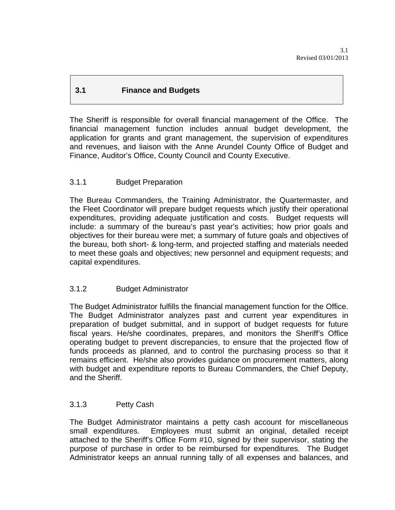# **3.1 Finance and Budgets**

The Sheriff is responsible for overall financial management of the Office. The financial management function includes annual budget development, the application for grants and grant management, the supervision of expenditures and revenues, and liaison with the Anne Arundel County Office of Budget and Finance, Auditor's Office, County Council and County Executive.

# 3.1.1 Budget Preparation

The Bureau Commanders, the Training Administrator, the Quartermaster, and the Fleet Coordinator will prepare budget requests which justify their operational expenditures, providing adequate justification and costs. Budget requests will include: a summary of the bureau's past year's activities; how prior goals and objectives for their bureau were met; a summary of future goals and objectives of the bureau, both short- & long-term, and projected staffing and materials needed to meet these goals and objectives; new personnel and equipment requests; and capital expenditures.

### 3.1.2 Budget Administrator

The Budget Administrator fulfills the financial management function for the Office. The Budget Administrator analyzes past and current year expenditures in preparation of budget submittal, and in support of budget requests for future fiscal years. He/she coordinates, prepares, and monitors the Sheriff's Office operating budget to prevent discrepancies, to ensure that the projected flow of funds proceeds as planned, and to control the purchasing process so that it remains efficient. He/she also provides guidance on procurement matters, along with budget and expenditure reports to Bureau Commanders, the Chief Deputy, and the Sheriff.

### 3.1.3 Petty Cash

The Budget Administrator maintains a petty cash account for miscellaneous small expenditures. Employees must submit an original, detailed receipt attached to the Sheriff's Office Form #10, signed by their supervisor, stating the purpose of purchase in order to be reimbursed for expenditures. The Budget Administrator keeps an annual running tally of all expenses and balances, and